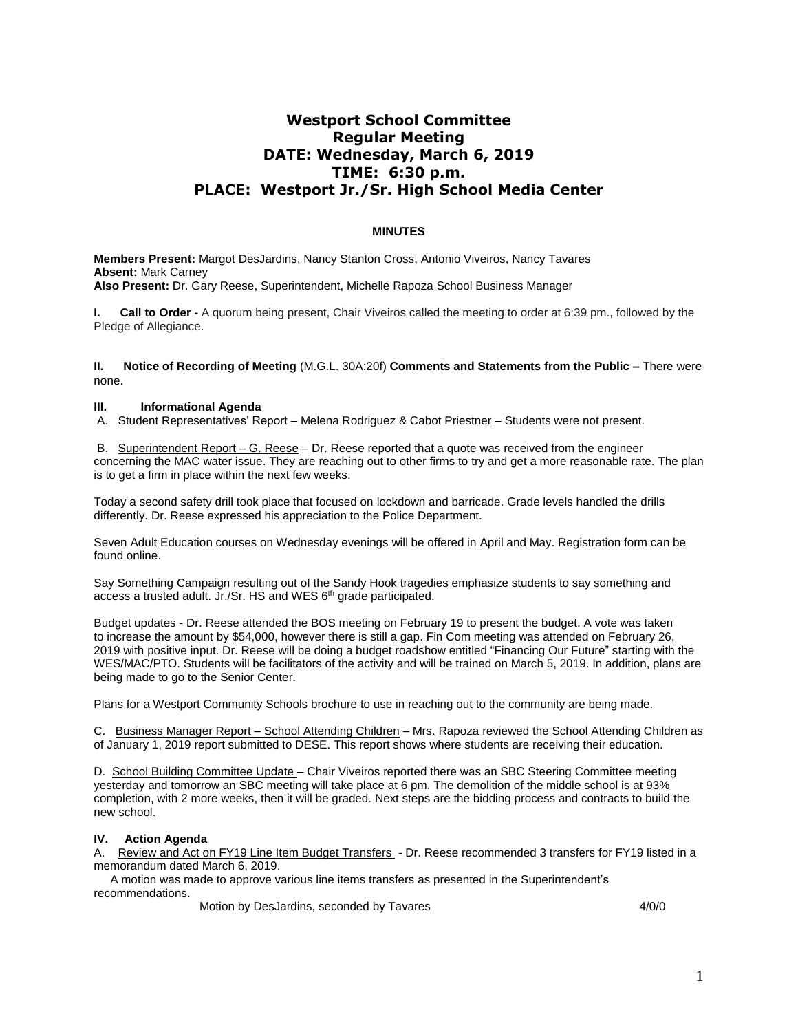# **Westport School Committee Regular Meeting DATE: Wednesday, March 6, 2019 TIME: 6:30 p.m. PLACE: Westport Jr./Sr. High School Media Center**

### **MINUTES**

**Members Present:** Margot DesJardins, Nancy Stanton Cross, Antonio Viveiros, Nancy Tavares **Absent:** Mark Carney **Also Present:** Dr. Gary Reese, Superintendent, Michelle Rapoza School Business Manager

**I. Call to Order -** A quorum being present, Chair Viveiros called the meeting to order at 6:39 pm., followed by the Pledge of Allegiance.

**II. Notice of Recording of Meeting** (M.G.L. 30A:20f) **Comments and Statements from the Public –** There were none.

### **III. Informational Agenda**

A. Student Representatives' Report – Melena Rodriguez & Cabot Priestner – Students were not present.

B. Superintendent Report – G. Reese – Dr. Reese reported that a quote was received from the engineer concerning the MAC water issue. They are reaching out to other firms to try and get a more reasonable rate. The plan is to get a firm in place within the next few weeks.

Today a second safety drill took place that focused on lockdown and barricade. Grade levels handled the drills differently. Dr. Reese expressed his appreciation to the Police Department.

Seven Adult Education courses on Wednesday evenings will be offered in April and May. Registration form can be found online.

Say Something Campaign resulting out of the Sandy Hook tragedies emphasize students to say something and access a trusted adult. Jr./Sr. HS and WES 6<sup>th</sup> grade participated.

Budget updates - Dr. Reese attended the BOS meeting on February 19 to present the budget. A vote was taken to increase the amount by \$54,000, however there is still a gap. Fin Com meeting was attended on February 26, 2019 with positive input. Dr. Reese will be doing a budget roadshow entitled "Financing Our Future" starting with the WES/MAC/PTO. Students will be facilitators of the activity and will be trained on March 5, 2019. In addition, plans are being made to go to the Senior Center.

Plans for a Westport Community Schools brochure to use in reaching out to the community are being made.

C. Business Manager Report – School Attending Children – Mrs. Rapoza reviewed the School Attending Children as of January 1, 2019 report submitted to DESE. This report shows where students are receiving their education.

D. School Building Committee Update - Chair Viveiros reported there was an SBC Steering Committee meeting yesterday and tomorrow an SBC meeting will take place at 6 pm. The demolition of the middle school is at 93% completion, with 2 more weeks, then it will be graded. Next steps are the bidding process and contracts to build the new school.

#### **IV. Action Agenda**

A. Review and Act on FY19 Line Item Budget Transfers - Dr. Reese recommended 3 transfers for FY19 listed in a memorandum dated March 6, 2019.

A motion was made to approve various line items transfers as presented in the Superintendent's recommendations.

Motion by DesJardins, seconded by Tavares 4/0/0